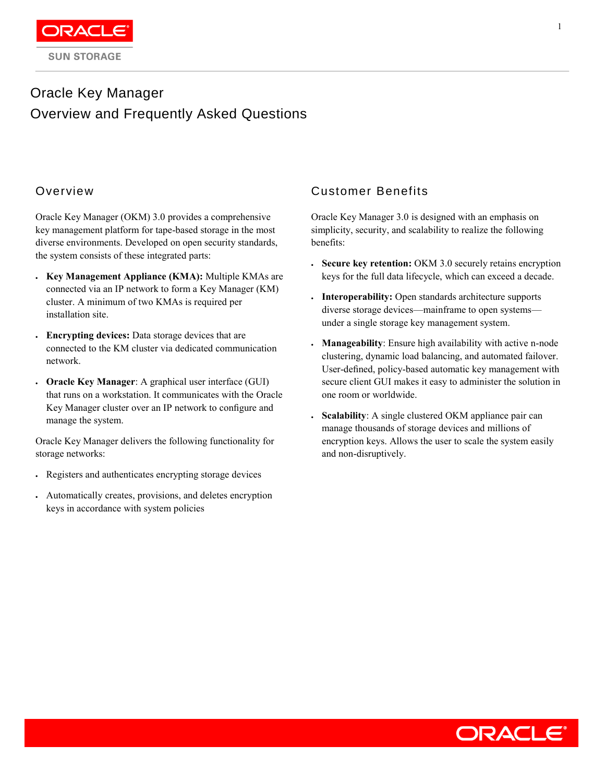# Oracle Key Manager Overview and Frequently Asked Questions

## Overview

Oracle Key Manager (OKM) 3.0 provides a comprehensive key management platform for tape-based storage in the most diverse environments. Developed on open security standards, the system consists of these integrated parts:

- **Key Management Appliance (KMA):** Multiple KMAs are connected via an IP network to form a Key Manager (KM) cluster. A minimum of two KMAs is required per installation site.
- **Encrypting devices:** Data storage devices that are connected to the KM cluster via dedicated communication network.
- **Oracle Key Manager**: A graphical user interface (GUI) that runs on a workstation. It communicates with the Oracle Key Manager cluster over an IP network to configure and manage the system.

Oracle Key Manager delivers the following functionality for storage networks:

- Registers and authenticates encrypting storage devices
- Automatically creates, provisions, and deletes encryption keys in accordance with system policies

### Customer Benefits

Oracle Key Manager 3.0 is designed with an emphasis on simplicity, security, and scalability to realize the following benefits:

- **Secure key retention:** OKM 3.0 securely retains encryption keys for the full data lifecycle, which can exceed a decade.
- **Interoperability:** Open standards architecture supports diverse storage devices—mainframe to open systems under a single storage key management system.
- **Manageability**: Ensure high availability with active n-node clustering, dynamic load balancing, and automated failover. User-defined, policy-based automatic key management with secure client GUI makes it easy to administer the solution in one room or worldwide.
- **Scalability**: A single clustered OKM appliance pair can manage thousands of storage devices and millions of encryption keys. Allows the user to scale the system easily and non-disruptively.

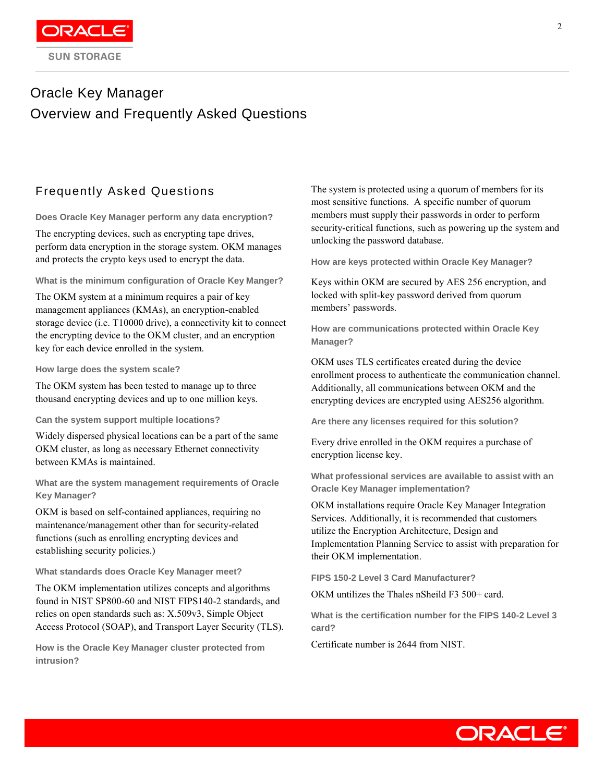

## Oracle Key Manager Overview and Frequently Asked Questions

## Frequently Asked Questions

**Does Oracle Key Manager perform any data encryption?**

The encrypting devices, such as encrypting tape drives, perform data encryption in the storage system. OKM manages and protects the crypto keys used to encrypt the data.

**What is the minimum configuration of Oracle Key Manger?**

The OKM system at a minimum requires a pair of key management appliances (KMAs), an encryption-enabled storage device (i.e. T10000 drive), a connectivity kit to connect the encrypting device to the OKM cluster, and an encryption key for each device enrolled in the system.

**How large does the system scale?**

The OKM system has been tested to manage up to three thousand encrypting devices and up to one million keys.

**Can the system support multiple locations?**

Widely dispersed physical locations can be a part of the same OKM cluster, as long as necessary Ethernet connectivity between KMAs is maintained.

**What are the system management requirements of Oracle Key Manager?**

OKM is based on self-contained appliances, requiring no maintenance/management other than for security-related functions (such as enrolling encrypting devices and establishing security policies.)

**What standards does Oracle Key Manager meet?**

The OKM implementation utilizes concepts and algorithms found in NIST SP800-60 and NIST FIPS140-2 standards, and relies on open standards such as: X.509v3, Simple Object Access Protocol (SOAP), and Transport Layer Security (TLS).

**How is the Oracle Key Manager cluster protected from intrusion?**

The system is protected using a quorum of members for its most sensitive functions. A specific number of quorum members must supply their passwords in order to perform security-critical functions, such as powering up the system and unlocking the password database.

**How are keys protected within Oracle Key Manager?**

Keys within OKM are secured by AES 256 encryption, and locked with split-key password derived from quorum members' passwords.

**How are communications protected within Oracle Key Manager?**

OKM uses TLS certificates created during the device enrollment process to authenticate the communication channel. Additionally, all communications between OKM and the encrypting devices are encrypted using AES256 algorithm.

**Are there any licenses required for this solution?**

Every drive enrolled in the OKM requires a purchase of encryption license key.

**What professional services are available to assist with an Oracle Key Manager implementation?**

OKM installations require Oracle Key Manager Integration Services. Additionally, it is recommended that customers utilize the Encryption Architecture, Design and Implementation Planning Service to assist with preparation for their OKM implementation.

**FIPS 150-2 Level 3 Card Manufacturer?**

OKM untilizes the Thales nSheild F3 500+ card.

**What is the certification number for the FIPS 140-2 Level 3 card?**

Certificate number is 2644 from NIST.

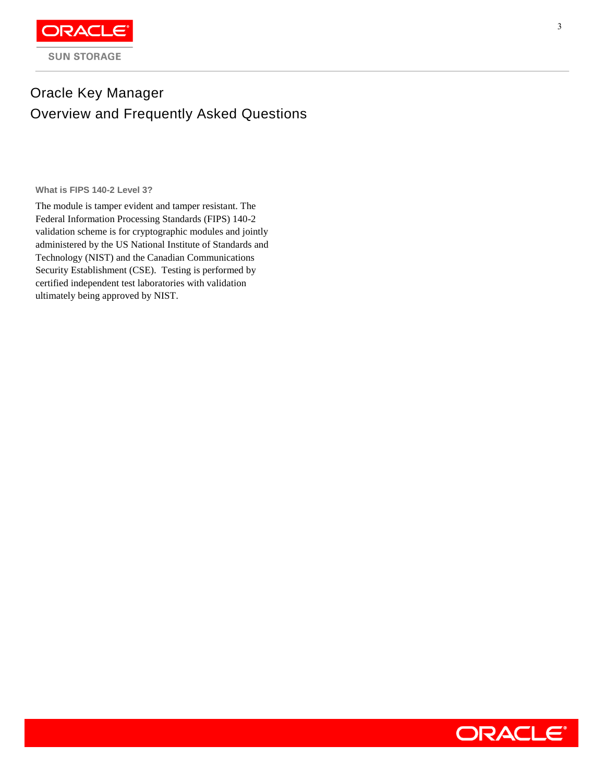

## Oracle Key Manager Overview and Frequently Asked Questions

**What is FIPS 140-2 Level 3?**

The module is tamper evident and tamper resistant. The Federal Information Processing Standards (FIPS) 140-2 validation scheme is for cryptographic modules and jointly administered by the US National Institute of Standards and Technology (NIST) and the Canadian Communications Security Establishment (CSE). Testing is performed by certified independent test laboratories with validation ultimately being approved by NIST.